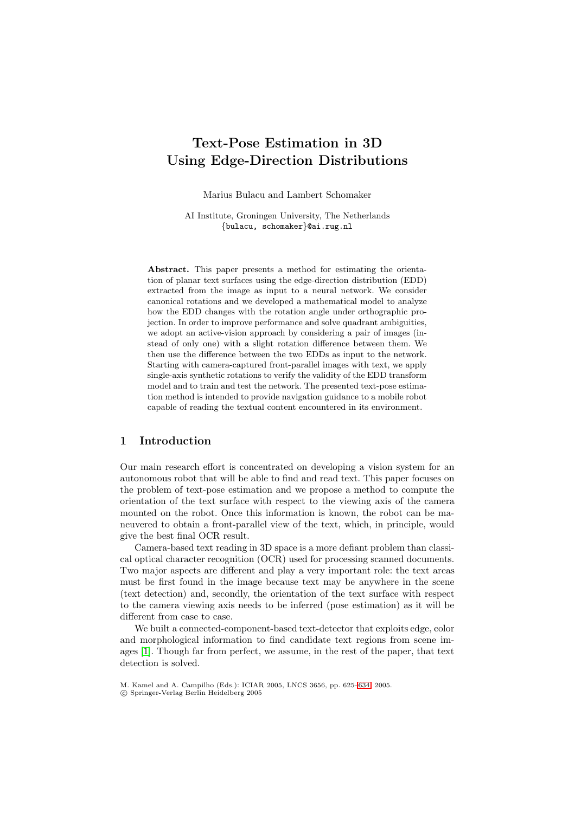# **Text-Pose Estimation in 3D Using Edge-Direction Distributions**

Marius Bulacu and Lambert Schomaker

AI Institute, Groningen University, The Netherlands *{*bulacu, schomaker*}*@ai.rug.nl

**Abstract.** This paper presents a method for estimating the orientation of planar text surfaces using the edge-direction distribution (EDD) extracted from the image as input to a neural network. We consider canonical rotations and we developed a mathematical model to analyze how the EDD changes with the rotation angle under orthographic projection. In order to improve performance and solve quadrant ambiguities, we adopt an active-vision approach by considering a pair of images (instead of only one) with a slight rotation difference between them. We then use the difference between the two EDDs as input to the network. Starting with camera-captured front-parallel images with text, we apply single-axis synthetic rotations to verify the validity of the EDD transform model and to train and test the network. The presented text-pose estimation method is intended to provide navigation guidance to a mobile robot capable of reading the textual content encountered in its environment.

## **1 Introduction**

Our main research effort is concentrated on developing a vision system for an autonomous robot that will be able to find and read text. This paper focuses on the problem of text-pose estimation and we propose a method to compute the orientation of the text surface with respect to the viewing axis of the camera mounted on the robot. Once this information is known, the robot can be maneuvered to obtain a front-parallel view of the text, which, in principle, would give the best final OCR result.

Camera-based text reading in 3D space is a more defiant problem than classical optical character recognition (OCR) used for processing scanned documents. Two major aspects are different and play a very important role: the text areas must be first found in the image because text may be anywhere in the scene (text detection) and, secondly, the orientation of the text surface with respect to the camera viewing axis needs to be inferred (pose estimation) as it will be different from case to case.

We built a connected-component-based text-detector that exploits edge, color and morphological information to find candidate text regions from scene images [\[1\]](#page-9-0). Though far from perfect, we assume, in the rest of the paper, that text detection is solved.

M. Kamel and A. Campilho (Eds.): ICIAR 2005, LNCS 3656, pp. 625[–634,](#page-9-1) 2005.

c Springer-Verlag Berlin Heidelberg 2005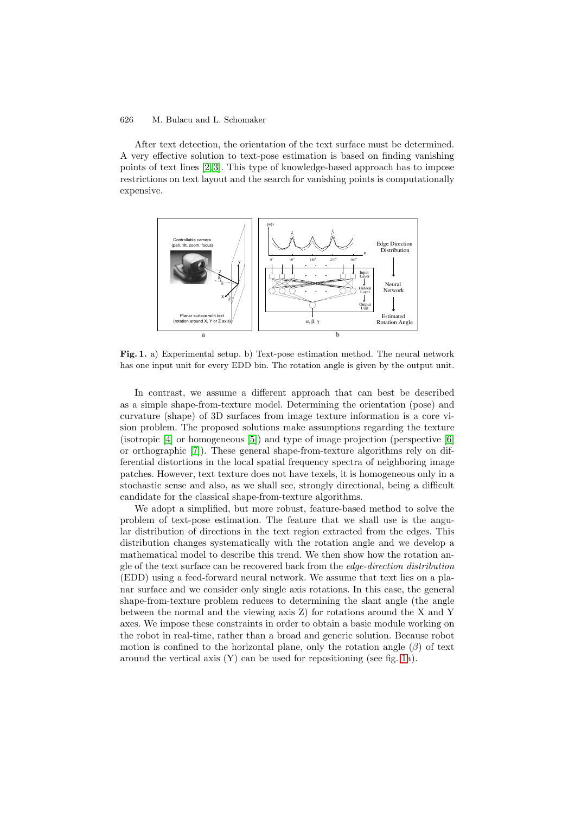After text detection, the orientation of the text surface must be determined. A very effective solution to text-pose estimation is based on finding vanishing points of text lines [\[2,](#page-9-2) [3\]](#page-9-3). This type of knowledge-based approach has to impose restrictions on text layout and the search for vanishing points is computationally expensive.



<span id="page-1-0"></span>**Fig. 1.** a) Experimental setup. b) Text-pose estimation method. The neural network has one input unit for every EDD bin. The rotation angle is given by the output unit.

In contrast, we assume a different approach that can best be described as a simple shape-from-texture model. Determining the orientation (pose) and curvature (shape) of 3D surfaces from image texture information is a core vision problem. The proposed solutions make assumptions regarding the texture (isotropic [\[4\]](#page-9-4) or homogeneous [\[5\]](#page-9-5)) and type of image projection (perspective [\[6\]](#page-9-6) or orthographic [\[7\]](#page-9-7)). These general shape-from-texture algorithms rely on differential distortions in the local spatial frequency spectra of neighboring image patches. However, text texture does not have texels, it is homogeneous only in a stochastic sense and also, as we shall see, strongly directional, being a difficult candidate for the classical shape-from-texture algorithms.

We adopt a simplified, but more robust, feature-based method to solve the problem of text-pose estimation. The feature that we shall use is the angular distribution of directions in the text region extracted from the edges. This distribution changes systematically with the rotation angle and we develop a mathematical model to describe this trend. We then show how the rotation angle of the text surface can be recovered back from the *edge-direction distribution* (EDD) using a feed-forward neural network. We assume that text lies on a planar surface and we consider only single axis rotations. In this case, the general shape-from-texture problem reduces to determining the slant angle (the angle between the normal and the viewing axis Z) for rotations around the X and Y axes. We impose these constraints in order to obtain a basic module working on the robot in real-time, rather than a broad and generic solution. Because robot motion is confined to the horizontal plane, only the rotation angle  $(\beta)$  of text around the vertical axis  $(Y)$  can be used for repositioning (see fig. [1a](#page-1-0)).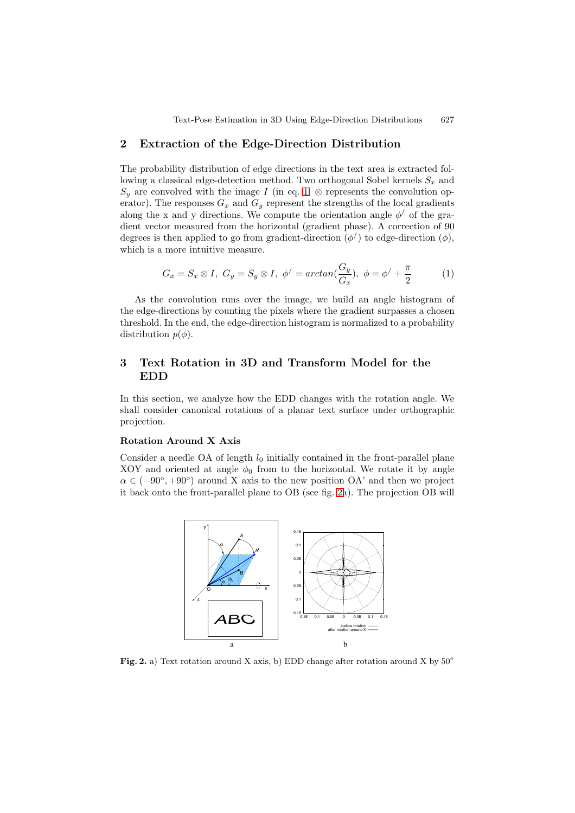## **2 Extraction of the Edge-Direction Distribution**

The probability distribution of edge directions in the text area is extracted following a classical edge-detection method. Two orthogonal Sobel kernels  $S_x$  and  $S_y$  are convolved with the image I (in eq. [1,](#page-2-0)  $\otimes$  represents the convolution operator). The responses  $G_x$  and  $G_y$  represent the strengths of the local gradients along the x and y directions. We compute the orientation angle  $\phi'$  of the gradient vector measured from the horizontal (gradient phase). A correction of 90 degrees is then applied to go from gradient-direction  $(\phi)$  to edge-direction  $(\phi)$ , which is a more intuitive measure.

$$
G_x = S_x \otimes I, \ G_y = S_y \otimes I, \ \phi' = \arctan(\frac{G_y}{G_x}), \ \phi = \phi' + \frac{\pi}{2}
$$
 (1)

<span id="page-2-0"></span>As the convolution runs over the image, we build an angle histogram of the edge-directions by counting the pixels where the gradient surpasses a chosen threshold. In the end, the edge-direction histogram is normalized to a probability distribution  $p(\phi)$ .

# **3 Text Rotation in 3D and Transform Model for the EDD**

In this section, we analyze how the EDD changes with the rotation angle. We shall consider canonical rotations of a planar text surface under orthographic projection.

## **Rotation Around X Axis**

Consider a needle OA of length  $l_0$  initially contained in the front-parallel plane XOY and oriented at angle  $\phi_0$  from to the horizontal. We rotate it by angle  $\alpha \in (-90^{\circ}, +90^{\circ})$  around X axis to the new position OA' and then we project it back onto the front-parallel plane to OB (see fig. [2a](#page-2-1)). The projection OB will



<span id="page-2-1"></span>Fig. 2. a) Text rotation around X axis, b) EDD change after rotation around X by  $50^{\circ}$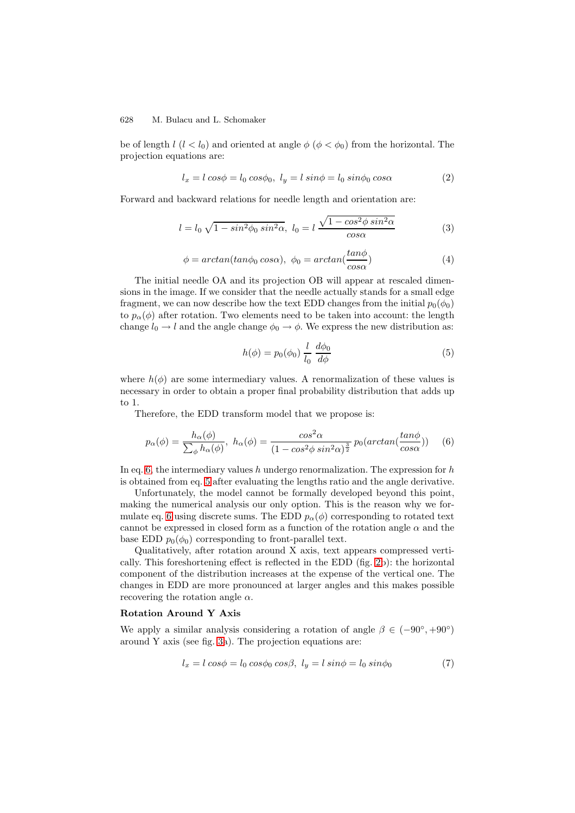be of length  $l$  ( $l < l_0$ ) and oriented at angle  $\phi$  ( $\phi < \phi_0$ ) from the horizontal. The projection equations are:

$$
l_x = l\cos\phi = l_0\cos\phi_0, \ l_y = l\sin\phi = l_0\sin\phi_0\cos\alpha \tag{2}
$$

Forward and backward relations for needle length and orientation are:

$$
l = l_0 \sqrt{1 - \sin^2 \phi_0 \sin^2 \alpha}, \ l_0 = l \frac{\sqrt{1 - \cos^2 \phi \sin^2 \alpha}}{\cos \alpha}
$$
 (3)

$$
\phi = \arctan(\tan\phi_0 \cos\alpha), \ \phi_0 = \arctan(\frac{\tan\phi}{\cos\alpha})
$$
\n(4)

The initial needle OA and its projection OB will appear at rescaled dimensions in the image. If we consider that the needle actually stands for a small edge fragment, we can now describe how the text EDD changes from the initial  $p_0(\phi_0)$ to  $p_{\alpha}(\phi)$  after rotation. Two elements need to be taken into account: the length change  $l_0 \rightarrow l$  and the angle change  $\phi_0 \rightarrow \phi$ . We express the new distribution as:

$$
h(\phi) = p_0(\phi_0) \frac{l}{l_0} \frac{d\phi_0}{d\phi} \tag{5}
$$

<span id="page-3-1"></span>where  $h(\phi)$  are some intermediary values. A renormalization of these values is necessary in order to obtain a proper final probability distribution that adds up to 1.

Therefore, the EDD transform model that we propose is:

$$
p_{\alpha}(\phi) = \frac{h_{\alpha}(\phi)}{\sum_{\phi} h_{\alpha}(\phi)}, \ h_{\alpha}(\phi) = \frac{\cos^2 \alpha}{(1 - \cos^2 \phi \sin^2 \alpha)^{\frac{3}{2}}} p_0(\arctan(\frac{\tan \phi}{\cos \alpha})) \quad (6)
$$

<span id="page-3-0"></span>In eq. [6,](#page-3-0) the intermediary values  $h$  undergo renormalization. The expression for  $h$ is obtained from eq. [5](#page-3-1) after evaluating the lengths ratio and the angle derivative.

Unfortunately, the model cannot be formally developed beyond this point, making the numerical analysis our only option. This is the reason why we for-mulate eq. [6](#page-3-0) using discrete sums. The EDD  $p_{\alpha}(\phi)$  corresponding to rotated text cannot be expressed in closed form as a function of the rotation angle  $\alpha$  and the base EDD  $p_0(\phi_0)$  corresponding to front-parallel text.

Qualitatively, after rotation around X axis, text appears compressed vertically. This foreshortening effect is reflected in the EDD (fig. [2b](#page-2-1)): the horizontal component of the distribution increases at the expense of the vertical one. The changes in EDD are more pronounced at larger angles and this makes possible recovering the rotation angle  $\alpha$ .

#### **Rotation Around Y Axis**

We apply a similar analysis considering a rotation of angle  $\beta \in (-90^{\circ}, +90^{\circ})$ around Y axis (see fig. [3a](#page-4-0)). The projection equations are:

$$
l_x = l\cos\phi = l_0\cos\phi_0\cos\beta, \ l_y = l\sin\phi = l_0\sin\phi_0 \tag{7}
$$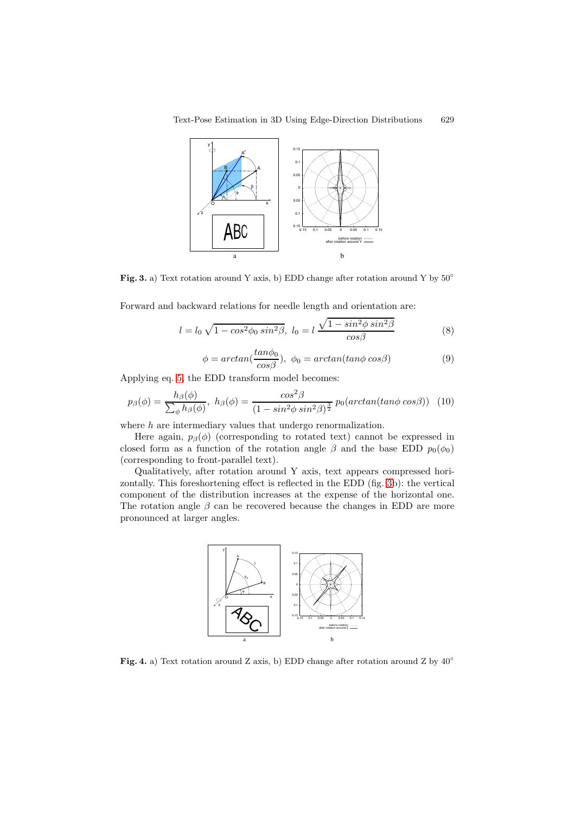Text-Pose Estimation in 3D Using Edge-Direction Distributions 629



<span id="page-4-0"></span>Fig. 3. a) Text rotation around Y axis, b) EDD change after rotation around Y by  $50^{\circ}$ 

Forward and backward relations for needle length and orientation are:

$$
l = l_0 \sqrt{1 - \cos^2 \phi_0 \sin^2 \beta}, \ l_0 = l \frac{\sqrt{1 - \sin^2 \phi \sin^2 \beta}}{\cos \beta}
$$
 (8)

$$
\phi = \arctan(\frac{\tan \phi_0}{\cos \beta}), \ \phi_0 = \arctan(\tan \phi \cos \beta) \tag{9}
$$

<span id="page-4-2"></span>Applying eq. [5,](#page-3-1) the EDD transform model becomes:

$$
p_{\beta}(\phi) = \frac{h_{\beta}(\phi)}{\sum_{\phi} h_{\beta}(\phi)}, \ h_{\beta}(\phi) = \frac{\cos^2 \beta}{(1 - \sin^2 \phi \sin^2 \beta)^{\frac{3}{2}}} p_0(\arctan(\tan \phi \cos \beta)) \quad (10)
$$

where h are intermediary values that undergo renormalization.

Here again,  $p_\beta(\phi)$  (corresponding to rotated text) cannot be expressed in closed form as a function of the rotation angle  $\beta$  and the base EDD  $p_0(\phi_0)$ (corresponding to front-parallel text).

Qualitatively, after rotation around Y axis, text appears compressed horizontally. This foreshortening effect is reflected in the EDD (fig. [3b](#page-4-0)): the vertical component of the distribution increases at the expense of the horizontal one. The rotation angle  $\beta$  can be recovered because the changes in EDD are more pronounced at larger angles.



<span id="page-4-1"></span>Fig. 4. a) Text rotation around Z axis, b) EDD change after rotation around Z by  $40^{\circ}$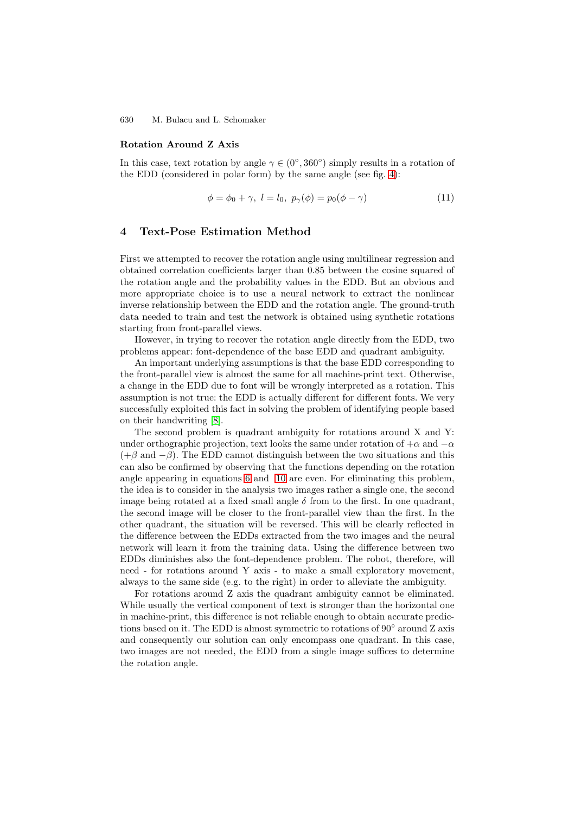#### **Rotation Around Z Axis**

<span id="page-5-0"></span>In this case, text rotation by angle  $\gamma \in (0^{\circ}, 360^{\circ})$  simply results in a rotation of the EDD (considered in polar form) by the same angle (see fig. [4\)](#page-4-1):

$$
\phi = \phi_0 + \gamma, \ l = l_0, \ p_\gamma(\phi) = p_0(\phi - \gamma) \tag{11}
$$

## **4 Text-Pose Estimation Method**

First we attempted to recover the rotation angle using multilinear regression and obtained correlation coefficients larger than 0.85 between the cosine squared of the rotation angle and the probability values in the EDD. But an obvious and more appropriate choice is to use a neural network to extract the nonlinear inverse relationship between the EDD and the rotation angle. The ground-truth data needed to train and test the network is obtained using synthetic rotations starting from front-parallel views.

However, in trying to recover the rotation angle directly from the EDD, two problems appear: font-dependence of the base EDD and quadrant ambiguity.

An important underlying assumptions is that the base EDD corresponding to the front-parallel view is almost the same for all machine-print text. Otherwise, a change in the EDD due to font will be wrongly interpreted as a rotation. This assumption is not true: the EDD is actually different for different fonts. We very successfully exploited this fact in solving the problem of identifying people based on their handwriting [\[8\]](#page-9-8).

The second problem is quadrant ambiguity for rotations around X and Y: under orthographic projection, text looks the same under rotation of  $+\alpha$  and  $-\alpha$  $(+\beta \text{ and } -\beta)$ . The EDD cannot distinguish between the two situations and this can also be confirmed by observing that the functions depending on the rotation angle appearing in equations [6](#page-3-0) and [10](#page-4-2) are even. For eliminating this problem, the idea is to consider in the analysis two images rather a single one, the second image being rotated at a fixed small angle  $\delta$  from to the first. In one quadrant, the second image will be closer to the front-parallel view than the first. In the other quadrant, the situation will be reversed. This will be clearly reflected in the difference between the EDDs extracted from the two images and the neural network will learn it from the training data. Using the difference between two EDDs diminishes also the font-dependence problem. The robot, therefore, will need - for rotations around Y axis - to make a small exploratory movement, always to the same side (e.g. to the right) in order to alleviate the ambiguity.

For rotations around Z axis the quadrant ambiguity cannot be eliminated. While usually the vertical component of text is stronger than the horizontal one in machine-print, this difference is not reliable enough to obtain accurate predictions based on it. The EDD is almost symmetric to rotations of 90◦ around Z axis and consequently our solution can only encompass one quadrant. In this case, two images are not needed, the EDD from a single image suffices to determine the rotation angle.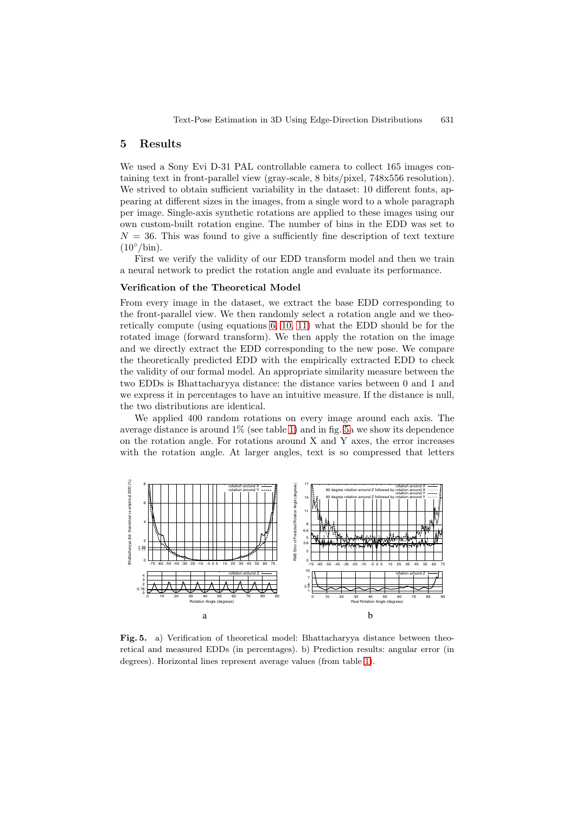# **5 Results**

We used a Sony Evi D-31 PAL controllable camera to collect 165 images containing text in front-parallel view (gray-scale, 8 bits/pixel, 748x556 resolution). We strived to obtain sufficient variability in the dataset: 10 different fonts, appearing at different sizes in the images, from a single word to a whole paragraph per image. Single-axis synthetic rotations are applied to these images using our own custom-built rotation engine. The number of bins in the EDD was set to  $N = 36$ . This was found to give a sufficiently fine description of text texture  $(10°/bin)$ .

First we verify the validity of our EDD transform model and then we train a neural network to predict the rotation angle and evaluate its performance.

#### **Verification of the Theoretical Model**

From every image in the dataset, we extract the base EDD corresponding to the front-parallel view. We then randomly select a rotation angle and we theoretically compute (using equations [6,](#page-3-0) [10,](#page-4-2) [11\)](#page-5-0) what the EDD should be for the rotated image (forward transform). We then apply the rotation on the image and we directly extract the EDD corresponding to the new pose. We compare the theoretically predicted EDD with the empirically extracted EDD to check the validity of our formal model. An appropriate similarity measure between the two EDDs is Bhattacharyya distance: the distance varies between 0 and 1 and we express it in percentages to have an intuitive measure. If the distance is null, the two distributions are identical.

We applied 400 random rotations on every image around each axis. The average distance is around  $1\%$  (see table [1\)](#page-8-0) and in fig. [5a](#page-6-0) we show its dependence on the rotation angle. For rotations around X and Y axes, the error increases with the rotation angle. At larger angles, text is so compressed that letters



<span id="page-6-0"></span>Fig. 5. a) Verification of theoretical model: Bhattacharyya distance between theoretical and measured EDDs (in percentages). b) Prediction results: angular error (in degrees). Horizontal lines represent average values (from table [1\)](#page-8-0).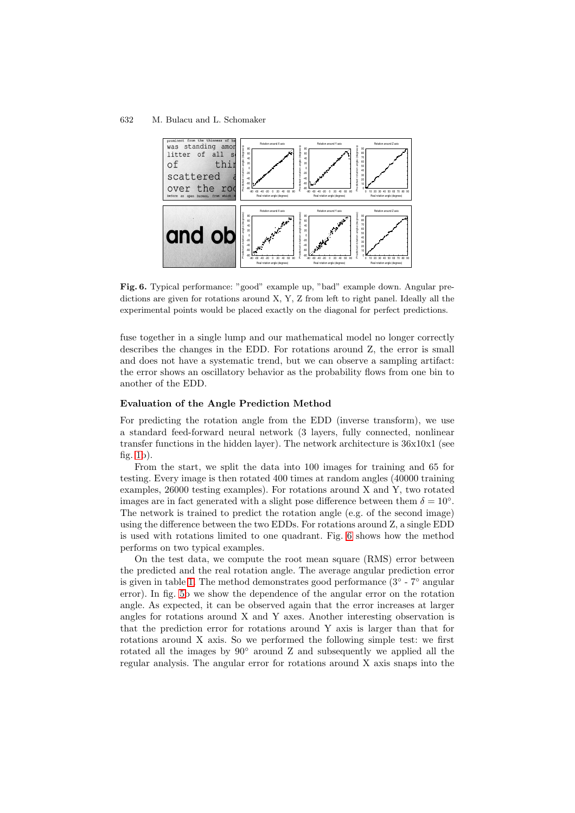

<span id="page-7-0"></span>**Fig. 6.** Typical performance: "good" example up, "bad" example down. Angular predictions are given for rotations around X, Y, Z from left to right panel. Ideally all the experimental points would be placed exactly on the diagonal for perfect predictions.

fuse together in a single lump and our mathematical model no longer correctly describes the changes in the EDD. For rotations around Z, the error is small and does not have a systematic trend, but we can observe a sampling artifact: the error shows an oscillatory behavior as the probability flows from one bin to another of the EDD.

#### **Evaluation of the Angle Prediction Method**

For predicting the rotation angle from the EDD (inverse transform), we use a standard feed-forward neural network (3 layers, fully connected, nonlinear transfer functions in the hidden layer). The network architecture is 36x10x1 (see fig. [1b](#page-1-0)).

From the start, we split the data into 100 images for training and 65 for testing. Every image is then rotated 400 times at random angles (40000 training examples, 26000 testing examples). For rotations around X and Y, two rotated images are in fact generated with a slight pose difference between them  $\delta = 10°$ . The network is trained to predict the rotation angle (e.g. of the second image) using the difference between the two EDDs. For rotations around Z, a single EDD is used with rotations limited to one quadrant. Fig. [6](#page-7-0) shows how the method performs on two typical examples.

On the test data, we compute the root mean square (RMS) error between the predicted and the real rotation angle. The average angular prediction error is given in table [1.](#page-8-0) The method demonstrates good performance  $(3° - 7°)$  angular error). In fig. [5b](#page-6-0) we show the dependence of the angular error on the rotation angle. As expected, it can be observed again that the error increases at larger angles for rotations around X and Y axes. Another interesting observation is that the prediction error for rotations around Y axis is larger than that for rotations around X axis. So we performed the following simple test: we first rotated all the images by 90◦ around Z and subsequently we applied all the regular analysis. The angular error for rotations around X axis snaps into the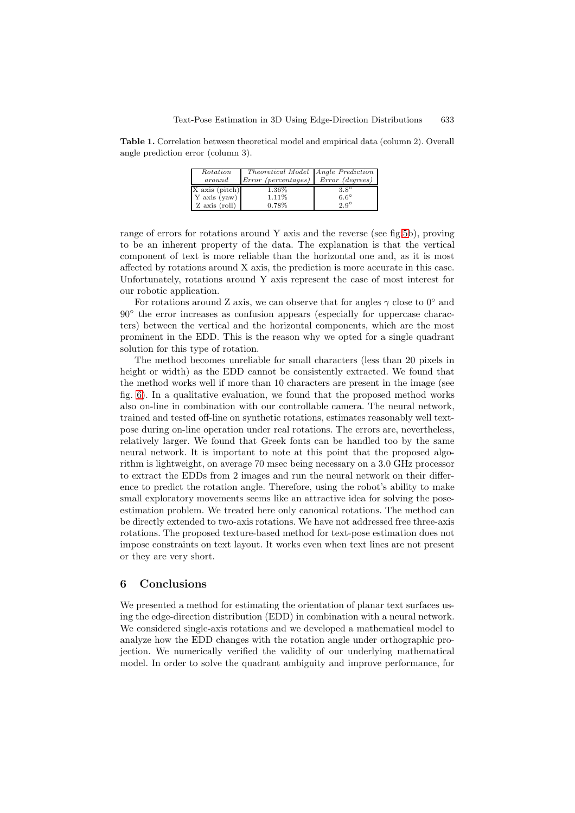<span id="page-8-0"></span>**Table 1.** Correlation between theoretical model and empirical data (column 2). Overall angle prediction error (column 3).

| Rotation<br>around                | Theoretical Model Angle Prediction<br>Error (percentages) | Error (degrees)            |
|-----------------------------------|-----------------------------------------------------------|----------------------------|
| X axis (pitch)                    | $1.36\%$                                                  | $3.8^\circ$                |
| Y axis $(yaw)$<br>$Z$ axis (roll) | 1.11%<br>0.78%                                            | $6.6^\circ$<br>$2.9^\circ$ |

range of errors for rotations around Y axis and the reverse (see fig[.5b](#page-6-0)), proving to be an inherent property of the data. The explanation is that the vertical component of text is more reliable than the horizontal one and, as it is most affected by rotations around X axis, the prediction is more accurate in this case. Unfortunately, rotations around Y axis represent the case of most interest for our robotic application.

For rotations around Z axis, we can observe that for angles  $\gamma$  close to 0<sup>°</sup> and 90◦ the error increases as confusion appears (especially for uppercase characters) between the vertical and the horizontal components, which are the most prominent in the EDD. This is the reason why we opted for a single quadrant solution for this type of rotation.

The method becomes unreliable for small characters (less than 20 pixels in height or width) as the EDD cannot be consistently extracted. We found that the method works well if more than 10 characters are present in the image (see fig. [6\)](#page-7-0). In a qualitative evaluation, we found that the proposed method works also on-line in combination with our controllable camera. The neural network, trained and tested off-line on synthetic rotations, estimates reasonably well textpose during on-line operation under real rotations. The errors are, nevertheless, relatively larger. We found that Greek fonts can be handled too by the same neural network. It is important to note at this point that the proposed algorithm is lightweight, on average 70 msec being necessary on a 3.0 GHz processor to extract the EDDs from 2 images and run the neural network on their difference to predict the rotation angle. Therefore, using the robot's ability to make small exploratory movements seems like an attractive idea for solving the poseestimation problem. We treated here only canonical rotations. The method can be directly extended to two-axis rotations. We have not addressed free three-axis rotations. The proposed texture-based method for text-pose estimation does not impose constraints on text layout. It works even when text lines are not present or they are very short.

### **6 Conclusions**

We presented a method for estimating the orientation of planar text surfaces using the edge-direction distribution (EDD) in combination with a neural network. We considered single-axis rotations and we developed a mathematical model to analyze how the EDD changes with the rotation angle under orthographic projection. We numerically verified the validity of our underlying mathematical model. In order to solve the quadrant ambiguity and improve performance, for